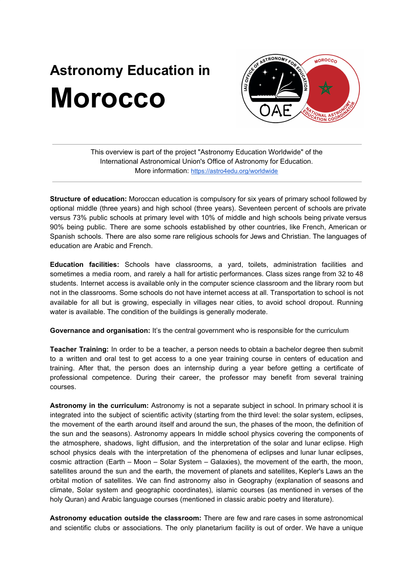## **Astronomy Education in Morocco**



This overview is part of the project "Astronomy Education Worldwide" of the International Astronomical Union's Office of Astronomy for Education. More information: <https://astro4edu.org/worldwide>

**Structure of education:** Moroccan education is compulsory for six years of primary school followed by optional middle (three years) and high school (three years). Seventeen percent of schools are private versus 73% public schools at primary level with 10% of middle and high schools being private versus 90% being public. There are some schools established by other countries, like French, American or Spanish schools. There are also some rare religious schools for Jews and Christian. The languages of education are Arabic and French.

**Education facilities:** Schools have classrooms, a yard, toilets, administration facilities and sometimes a media room, and rarely a hall for artistic performances. Class sizes range from 32 to 48 students. Internet access is available only in the computer science classroom and the library room but not in the classrooms. Some schools do not have internet access at all. Transportation to school is not available for all but is growing, especially in villages near cities, to avoid school dropout. Running water is available. The condition of the buildings is generally moderate.

**Governance and organisation:** It's the central government who is responsible for the curriculum

**Teacher Training:** In order to be a teacher, a person needs to obtain a bachelor degree then submit to a written and oral test to get access to a one year training course in centers of education and training. After that, the person does an internship during a year before getting a certificate of professional competence. During their career, the professor may benefit from several training courses.

**Astronomy in the curriculum:** Astronomy is not a separate subject in school. In primary school it is integrated into the subject of scientific activity (starting from the third level: the solar system, eclipses, the movement of the earth around itself and around the sun, the phases of the moon, the definition of the sun and the seasons). Astronomy appears In middle school physics covering the components of the atmosphere, shadows, light diffusion, and the interpretation of the solar and lunar eclipse. High school physics deals with the interpretation of the phenomena of eclipses and lunar lunar eclipses, cosmic attraction (Earth – Moon – Solar System – Galaxies), the movement of the earth, the moon, satellites around the sun and the earth, the movement of planets and satellites, Kepler's Laws an the orbital motion of satellites. We can find astronomy also in Geography (explanation of seasons and climate, Solar system and geographic coordinates), islamic courses (as mentioned in verses of the holy Quran) and Arabic language courses (mentioned in classic arabic poetry and literature).

**Astronomy education outside the classroom:** There are few and rare cases in some astronomical and scientific clubs or associations. The only planetarium facility is out of order. We have a unique